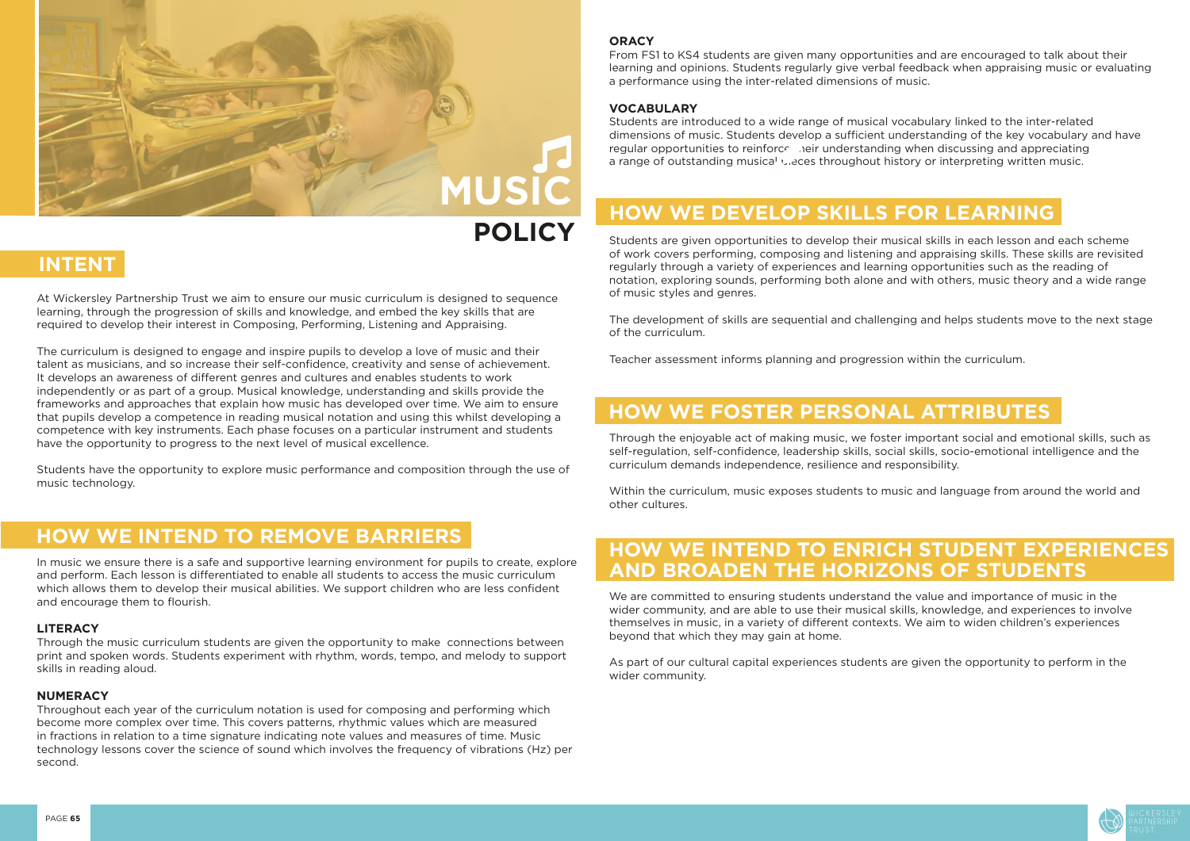

#### **ORACY**

Students are introduced to a wide range of musical vocabulary linked to the inter-related dimensions of music. Students develop a sufficient understanding of the key vocabulary and have regular opportunities to reinforce their understanding when discussing and appreciating a range of outstanding musical vieces throughout history or interpreting written music.

From FS1 to KS4 students are given many opportunities and are encouraged to talk about their learning and opinions. Students regularly give verbal feedback when appraising music or evaluating a performance using the inter-related dimensions of music.

#### **VOCABULARY**

Students are given opportunities to develop their musical skills in each lesson and each scheme of work covers performing, composing and listening and appraising skills. These skills are revisited regularly through a variety of experiences and learning opportunities such as the reading of notation, exploring sounds, performing both alone and with others, music theory and a wide range of music styles and genres.

The development of skills are sequential and challenging and helps students move to the next stage of the curriculum.

Teacher assessment informs planning and progression within the curriculum.

Through the enjoyable act of making music, we foster important social and emotional skills, such as self-regulation, self-confidence, leadership skills, social skills, socio-emotional intelligence and the curriculum demands independence, resilience and responsibility.

Within the curriculum, music exposes students to music and language from around the world and other cultures.

We are committed to ensuring students understand the value and importance of music in the wider community, and are able to use their musical skills, knowledge, and experiences to involve themselves in music, in a variety of different contexts. We aim to widen children's experiences beyond that which they may gain at home.

As part of our cultural capital experiences students are given the opportunity to perform in the wider community.



## **POLICY**

## **INTENT**

At Wickersley Partnership Trust we aim to ensure our music curriculum is designed to sequence learning, through the progression of skills and knowledge, and embed the key skills that are required to develop their interest in Composing, Performing, Listening and Appraising.

The curriculum is designed to engage and inspire pupils to develop a love of music and their talent as musicians, and so increase their self-confidence, creativity and sense of achievement. It develops an awareness of different genres and cultures and enables students to work independently or as part of a group. Musical knowledge, understanding and skills provide the frameworks and approaches that explain how music has developed over time. We aim to ensure that pupils develop a competence in reading musical notation and using this whilst developing a competence with key instruments. Each phase focuses on a particular instrument and students have the opportunity to progress to the next level of musical excellence.

Students have the opportunity to explore music performance and composition through the use of music technology.

In music we ensure there is a safe and supportive learning environment for pupils to create, explore and perform. Each lesson is differentiated to enable all students to access the music curriculum which allows them to develop their musical abilities. We support children who are less confident and encourage them to flourish.

#### **LITERACY**

Through the music curriculum students are given the opportunity to make connections between print and spoken words. Students experiment with rhythm, words, tempo, and melody to support skills in reading aloud.

#### **NUMERACY**

Throughout each year of the curriculum notation is used for composing and performing which become more complex over time. This covers patterns, rhythmic values which are measured in fractions in relation to a time signature indicating note values and measures of time. Music technology lessons cover the science of sound which involves the frequency of vibrations (Hz) per second.

## **HOW WE INTEND TO REMOVE BARRIERS**

## **HOW WE DEVELOP SKILLS FOR LEARNING**

## **HOW WE FOSTER PERSONAL ATTRIBUTES**

### **HOW WE INTEND TO ENRICH STUDENT EXPERIENCES AND BROADEN THE HORIZONS OF STUDENTS**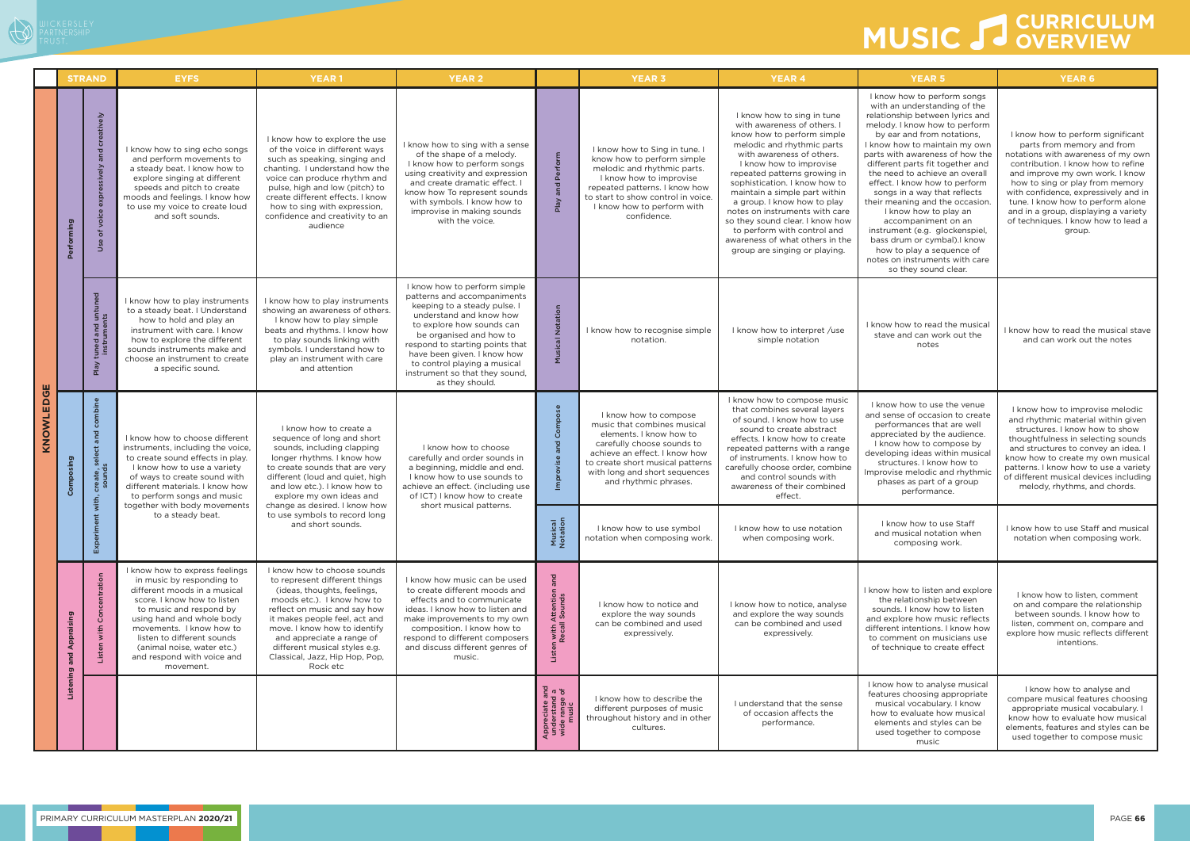- 11

WICKERSLEY

# **MUSIC CURRICULUM OVERVIEW**

|           | <b>STRAND</b>               |                                                           | <b>EYFS</b>                                                                                                                                                                                                                                                                                                           | <b>YEAR1</b>                                                                                                                                                                                                                                                                                                                           | <b>YEAR 2</b>                                                                                                                                                                                                                                                                                                                         |                                                                                     | <b>YEAR 3</b>                                                                                                                                                                                                                                | <b>YEAR 4</b>                                                                                                                                                                                                                                                                                                                                                                                                                                                                          | <b>YEAR 5</b>                                                                                                                                                                                                                                                                                                                                                                                                                                                                                                                                                                                                       | <b>YEAR 6</b>                                                                                                                                                                                                                                                                                                                                                                           |
|-----------|-----------------------------|-----------------------------------------------------------|-----------------------------------------------------------------------------------------------------------------------------------------------------------------------------------------------------------------------------------------------------------------------------------------------------------------------|----------------------------------------------------------------------------------------------------------------------------------------------------------------------------------------------------------------------------------------------------------------------------------------------------------------------------------------|---------------------------------------------------------------------------------------------------------------------------------------------------------------------------------------------------------------------------------------------------------------------------------------------------------------------------------------|-------------------------------------------------------------------------------------|----------------------------------------------------------------------------------------------------------------------------------------------------------------------------------------------------------------------------------------------|----------------------------------------------------------------------------------------------------------------------------------------------------------------------------------------------------------------------------------------------------------------------------------------------------------------------------------------------------------------------------------------------------------------------------------------------------------------------------------------|---------------------------------------------------------------------------------------------------------------------------------------------------------------------------------------------------------------------------------------------------------------------------------------------------------------------------------------------------------------------------------------------------------------------------------------------------------------------------------------------------------------------------------------------------------------------------------------------------------------------|-----------------------------------------------------------------------------------------------------------------------------------------------------------------------------------------------------------------------------------------------------------------------------------------------------------------------------------------------------------------------------------------|
| KNOWLEDGE | Performing                  | ਂਹ<br>등<br>$\geq$<br>voic<br>$\overleftarrow{\mathrm{o}}$ | I know how to sing echo songs<br>and perform movements to<br>a steady beat. I know how to<br>explore singing at different<br>speeds and pitch to create<br>moods and feelings. I know how<br>to use my voice to create loud<br>and soft sounds.                                                                       | I know how to explore the use<br>of the voice in different ways<br>such as speaking, singing and<br>chanting. I understand how the<br>voice can produce rhythm and<br>pulse, high and low (pitch) to<br>create different effects. I know<br>how to sing with expression,<br>confidence and creativity to an<br>audience                | I know how to sing with a sense<br>of the shape of a melody.<br>I know how to perform songs<br>using creativity and expression<br>and create dramatic effect. I<br>know how To represent sounds<br>with symbols. I know how to<br>improvise in making sounds<br>with the voice.                                                       | 음                                                                                   | I know how to Sing in tune. I<br>know how to perform simple<br>melodic and rhythmic parts.<br>I know how to improvise<br>repeated patterns. I know how<br>to start to show control in voice.<br>I know how to perform with<br>confidence.    | I know how to sing in tune<br>with awareness of others. I<br>know how to perform simple<br>melodic and rhythmic parts<br>with awareness of others.<br>I know how to improvise<br>repeated patterns growing in<br>sophistication. I know how to<br>maintain a simple part within<br>a group. I know how to play<br>notes on instruments with care<br>so they sound clear. I know how<br>to perform with control and<br>awareness of what others in the<br>group are singing or playing. | I know how to perform songs<br>with an understanding of the<br>relationship between lyrics and<br>melody. I know how to perform<br>by ear and from notations,<br>I know how to maintain my own<br>parts with awareness of how the<br>different parts fit together and<br>the need to achieve an overall<br>effect. I know how to perform<br>songs in a way that reflects<br>their meaning and the occasion.<br>I know how to play an<br>accompaniment on an<br>instrument (e.g. glockenspiel,<br>bass drum or cymbal). Iknow<br>how to play a sequence of<br>notes on instruments with care<br>so they sound clear. | I know how to perform significant<br>parts from memory and from<br>notations with awareness of my own<br>contribution. I know how to refine<br>and improve my own work. I know<br>how to sing or play from memory<br>with confidence, expressively and in<br>tune. I know how to perform alone<br>and in a group, displaying a variety<br>of techniques. I know how to lead a<br>group. |
|           |                             | tuned and untune<br>instruments<br>Neld                   | I know how to play instruments<br>to a steady beat. I Understand<br>how to hold and play an<br>instrument with care. I know<br>how to explore the different<br>sounds instruments make and<br>choose an instrument to create<br>a specific sound.                                                                     | I know how to play instruments<br>showing an awareness of others.<br>I know how to play simple<br>beats and rhythms. I know how<br>to play sounds linking with<br>symbols. I understand how to<br>play an instrument with care<br>and attention                                                                                        | I know how to perform simple<br>patterns and accompaniments<br>keeping to a steady pulse. I<br>understand and know how<br>to explore how sounds can<br>be organised and how to<br>respond to starting points that<br>have been given. I know how<br>to control playing a musical<br>instrument so that they sound,<br>as they should. |                                                                                     | I know how to recognise simple<br>notation.                                                                                                                                                                                                  | I know how to interpret /use<br>simple notation                                                                                                                                                                                                                                                                                                                                                                                                                                        | I know how to read the musical<br>stave and can work out the<br>notes                                                                                                                                                                                                                                                                                                                                                                                                                                                                                                                                               | I know how to read the musical stave<br>and can work out the notes                                                                                                                                                                                                                                                                                                                      |
|           | Composing                   | combine<br>create, sele<br>sounds                         | I know how to choose different<br>instruments, including the voice,<br>to create sound effects in play.<br>I know how to use a variety<br>of ways to create sound with<br>different materials. I know how<br>to perform songs and music<br>together with body movements                                               | I know how to create a<br>sequence of long and short<br>sounds, including clapping<br>longer rhythms. I know how<br>to create sounds that are very<br>different (loud and quiet, high<br>and low etc.). I know how to<br>explore my own ideas and<br>change as desired. I know how                                                     | I know how to choose<br>carefully and order sounds in<br>a beginning, middle and end.<br>I know how to use sounds to<br>achieve an effect. (including use<br>of ICT) I know how to create<br>short musical patterns.                                                                                                                  |                                                                                     | I know how to compose<br>music that combines musical<br>elements. I know how to<br>carefully choose sounds to<br>achieve an effect. I know how<br>to create short musical patterns<br>with long and short sequences<br>and rhythmic phrases. | I know how to compose music<br>that combines several layers<br>of sound. I know how to use<br>sound to create abstract<br>effects. I know how to create<br>repeated patterns with a range<br>of instruments. I know how to<br>carefully choose order, combine<br>and control sounds with<br>awareness of their combined<br>effect.                                                                                                                                                     | I know how to use the venue<br>and sense of occasion to create<br>performances that are well<br>appreciated by the audience.<br>I know how to compose by<br>developing ideas within musical<br>structures. I know how to<br>Improvise melodic and rhythmic<br>phases as part of a group<br>performance.                                                                                                                                                                                                                                                                                                             | I know how to improvise melodic<br>and rhythmic material within given<br>structures. I know how to show<br>thoughtfulness in selecting sounds<br>and structures to convey an idea. I<br>know how to create my own musical<br>patterns. I know how to use a variety<br>of different musical devices including<br>melody, rhythms, and chords.                                            |
|           |                             | Expe                                                      | to use symbols to record long<br>to a steady beat.<br>and short sounds.                                                                                                                                                                                                                                               |                                                                                                                                                                                                                                                                                                                                        | Musical<br>Notation                                                                                                                                                                                                                                                                                                                   | I know how to use symbol<br>notation when composing work.                           | I know how to use notation<br>when composing work.                                                                                                                                                                                           | I know how to use Staff<br>and musical notation when<br>composing work.                                                                                                                                                                                                                                                                                                                                                                                                                | I know how to use Staff and musical<br>notation when composing work.                                                                                                                                                                                                                                                                                                                                                                                                                                                                                                                                                |                                                                                                                                                                                                                                                                                                                                                                                         |
|           | Appraising<br>Listening and | Concentration<br>Listen with                              | I know how to express feelings<br>in music by responding to<br>different moods in a musical<br>score. I know how to listen<br>to music and respond by<br>using hand and whole body<br>movements. I know how to<br>listen to different sounds<br>(animal noise, water etc.)<br>and respond with voice and<br>movement. | I know how to choose sounds<br>to represent different things<br>(ideas, thoughts, feelings,<br>moods etc.). I know how to<br>reflect on music and say how<br>it makes people feel, act and<br>move. I know how to identify<br>and appreciate a range of<br>different musical styles e.g.<br>Classical, Jazz, Hip Hop, Pop,<br>Rock etc | I know how music can be used<br>to create different moods and<br>effects and to communicate<br>ideas. I know how to listen and<br>make improvements to my own<br>composition. I know how to<br>respond to different composers<br>and discuss different genres of<br>music.                                                            | and<br>n with Attention a<br>Recall Sounds<br>Liste                                 | I know how to notice and<br>explore the way sounds<br>can be combined and used<br>expressively.                                                                                                                                              | I know how to notice, analyse<br>and explore the way sounds<br>can be combined and used<br>expressively.                                                                                                                                                                                                                                                                                                                                                                               | I know how to listen and explore<br>the relationship between<br>sounds. I know how to listen<br>and explore how music reflects<br>different intentions. I know how<br>to comment on musicians use<br>of technique to create effect                                                                                                                                                                                                                                                                                                                                                                                  | I know how to listen, comment<br>on and compare the relationship<br>between sounds. I know how to<br>listen, comment on, compare and<br>explore how music reflects different<br>intentions.                                                                                                                                                                                             |
|           |                             |                                                           |                                                                                                                                                                                                                                                                                                                       |                                                                                                                                                                                                                                                                                                                                        |                                                                                                                                                                                                                                                                                                                                       | $\frac{1}{6}$ $\frac{1}{6}$<br>Appreciate an<br>understand<br>wide range c<br>music | I know how to describe the<br>different purposes of music<br>throughout history and in other<br>cultures.                                                                                                                                    | I understand that the sense<br>of occasion affects the<br>performance.                                                                                                                                                                                                                                                                                                                                                                                                                 | I know how to analyse musical<br>features choosing appropriate<br>musical vocabulary. I know<br>how to evaluate how musical<br>elements and styles can be<br>used together to compose<br>music                                                                                                                                                                                                                                                                                                                                                                                                                      | I know how to analyse and<br>compare musical features choosing<br>appropriate musical vocabulary. I<br>know how to evaluate how musical<br>elements, features and styles can be<br>used together to compose music                                                                                                                                                                       |